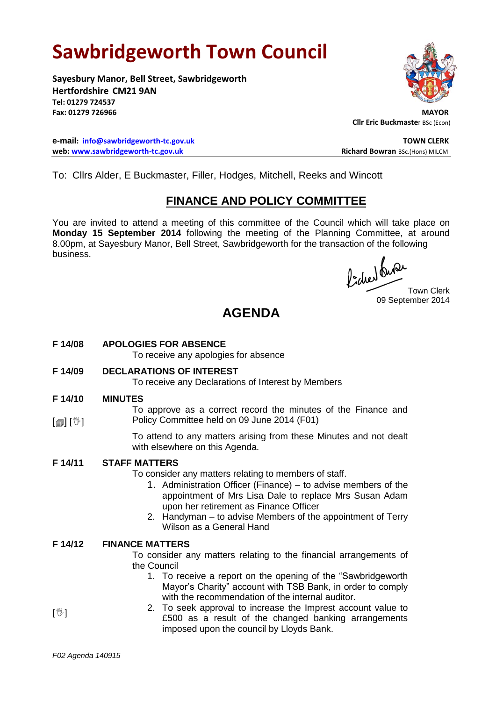# **Sawbridgeworth Town Council**

**Sayesbury Manor, Bell Street, Sawbridgeworth Hertfordshire CM21 9AN Tel: 01279 724537** Fax: 01279 726966

**e-mail: [info@sawbridgeworth-tc.gov.uk](mailto:info@sawbridgeworth-tc.gov.uk) TOWN CLERK web:** www.sawbridgeworth-tc.gov.uk **Richard Bowran** BSc.(Hons) MILCM



**Cllr Eric Buckmaste**r BSc (Econ)

To: Cllrs Alder, E Buckmaster, Filler, Hodges, Mitchell, Reeks and Wincott

# **FINANCE AND POLICY COMMITTEE**

You are invited to attend a meeting of this committee of the Council which will take place on **Monday 15 September 2014** following the meeting of the Planning Committee, at around 8.00pm, at Sayesbury Manor, Bell Street, Sawbridgeworth for the transaction of the following business.

fided ture

09 September 2014

# **AGENDA**

**F 14/08 APOLOGIES FOR ABSENCE**

To receive any apologies for absence

**F 14/09 DECLARATIONS OF INTEREST**

To receive any Declarations of Interest by Members

#### **F 14/10 MINUTES**

 $\lceil$  [ $\parallel$   $\mathbb{I}$   $\rceil$   $\mid$   $\mathbb{V}$   $\rceil$ 

To approve as a correct record the minutes of the Finance and Policy Committee held on 09 June 2014 (F01)

> To attend to any matters arising from these Minutes and not dealt with elsewhere on this Agenda.

## **F 14/11 STAFF MATTERS**

To consider any matters relating to members of staff.

- 1. Administration Officer (Finance) to advise members of the appointment of Mrs Lisa Dale to replace Mrs Susan Adam upon her retirement as Finance Officer
- 2. Handyman to advise Members of the appointment of Terry Wilson as a General Hand

#### **F 14/12 FINANCE MATTERS**

To consider any matters relating to the financial arrangements of the Council

- 1. To receive a report on the opening of the "Sawbridgeworth Mayor's Charity" account with TSB Bank, in order to comply with the recommendation of the internal auditor.
- 2. To seek approval to increase the Imprest account value to £500 as a result of the changed banking arrangements imposed upon the council by Lloyds Bank.

 $\mathbb{I}^{\mathbb{M}}$